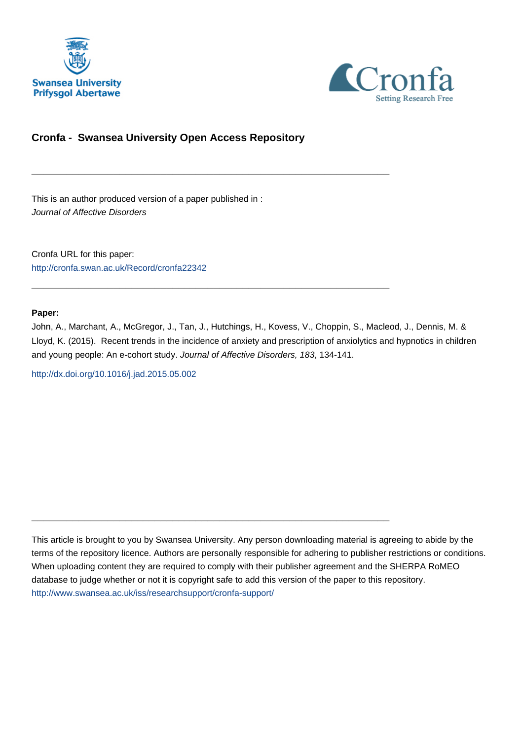



## **Cronfa - Swansea University Open Access Repository**

\_\_\_\_\_\_\_\_\_\_\_\_\_\_\_\_\_\_\_\_\_\_\_\_\_\_\_\_\_\_\_\_\_\_\_\_\_\_\_\_\_\_\_\_\_\_\_\_\_\_\_\_\_\_\_\_\_\_\_\_\_

 $\_$  , and the set of the set of the set of the set of the set of the set of the set of the set of the set of the set of the set of the set of the set of the set of the set of the set of the set of the set of the set of th

\_\_\_\_\_\_\_\_\_\_\_\_\_\_\_\_\_\_\_\_\_\_\_\_\_\_\_\_\_\_\_\_\_\_\_\_\_\_\_\_\_\_\_\_\_\_\_\_\_\_\_\_\_\_\_\_\_\_\_\_\_

This is an author produced version of a paper published in : Journal of Affective Disorders

Cronfa URL for this paper: <http://cronfa.swan.ac.uk/Record/cronfa22342>

## **Paper:**

John, A., Marchant, A., McGregor, J., Tan, J., Hutchings, H., Kovess, V., Choppin, S., Macleod, J., Dennis, M. & Lloyd, K. (2015). Recent trends in the incidence of anxiety and prescription of anxiolytics and hypnotics in children and young people: An e-cohort study. Journal of Affective Disorders, 183, 134-141.

<http://dx.doi.org/10.1016/j.jad.2015.05.002>

This article is brought to you by Swansea University. Any person downloading material is agreeing to abide by the terms of the repository licence. Authors are personally responsible for adhering to publisher restrictions or conditions. When uploading content they are required to comply with their publisher agreement and the SHERPA RoMEO database to judge whether or not it is copyright safe to add this version of the paper to this repository. [http://www.swansea.ac.uk/iss/researchsupport/cronfa-support/](http://www.swansea.ac.uk/iss/researchsupport/cronfa-support/ )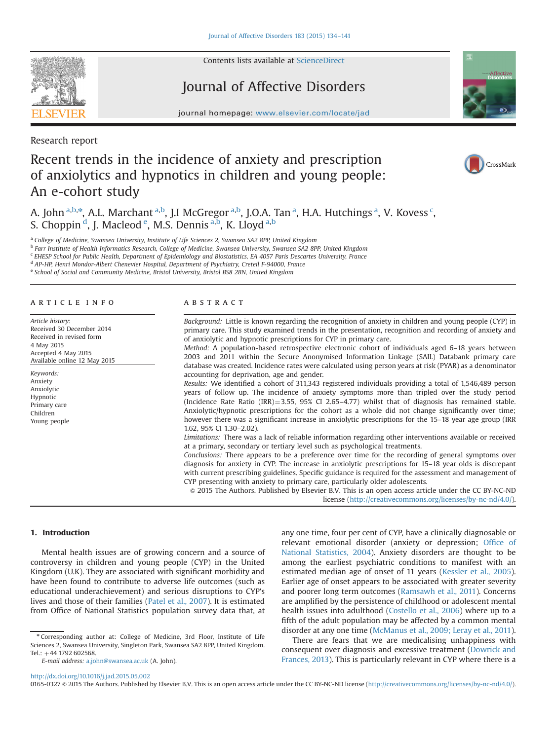Contents lists available at ScienceDirect

## Journal of Affective Disorders

journal homepage: www.elsevier.com/locate/jad

Research report

# Recent trends in the incidence of anxiety and prescription of anxiolytics and hypnotics in children and young people: An e-cohort study

A. John <sup>a,b,</sup>\*, A.L. Marchant <sup>a,b</sup>, J.I McGregor <sup>a,b</sup>, J.O.A. Tan <sup>a</sup>, H.A. Hutchings <sup>a</sup>, V. Kovess <sup>c</sup>, S. Choppin <sup>d</sup>, J. Macleod <sup>e</sup>, M.S. Dennis <sup>a,b</sup>, K. Lloyd <sup>a,b</sup>

<sup>a</sup> College of Medicine, Swansea University, Institute of Life Sciences 2, Swansea SA2 8PP, United Kingdom

<sup>b</sup> Farr Institute of Health Informatics Research, College of Medicine, Swansea University, Swansea SA2 8PP, United Kingdom

<sup>c</sup> EHESP School for Public Health, Department of Epidemiology and Biostatistics, EA 4057 Paris Descartes University, France

<sup>d</sup> AP-HP, Henri Mondor-Albert Chenevier Hospital, Department of Psychiatry, Creteil F-94000, France

<sup>e</sup> School of Social and Community Medicine, Bristol University, Bristol BS8 2BN, United Kingdom

#### article info

Article history: Received 30 December 2014 Received in revised form 4 May 2015 Accepted 4 May 2015 Available online 12 May 2015

Keywords: Anxiety Anxiolytic Hypnotic Primary care Children Young people

#### **ABSTRACT**

Background: Little is known regarding the recognition of anxiety in children and young people (CYP) in primary care. This study examined trends in the presentation, recognition and recording of anxiety and of anxiolytic and hypnotic prescriptions for CYP in primary care.

Method: A population-based retrospective electronic cohort of individuals aged 6–18 years between 2003 and 2011 within the Secure Anonymised Information Linkage (SAIL) Databank primary care database was created. Incidence rates were calculated using person years at risk (PYAR) as a denominator accounting for deprivation, age and gender.

Results: We identified a cohort of 311,343 registered individuals providing a total of 1,546,489 person years of follow up. The incidence of anxiety symptoms more than tripled over the study period (Incidence Rate Ratio (IRR)=3.55, 95% CI 2.65–4.77) whilst that of diagnosis has remained stable. Anxiolytic/hypnotic prescriptions for the cohort as a whole did not change significantly over time; however there was a significant increase in anxiolytic prescriptions for the 15–18 year age group (IRR 1.62, 95% CI 1.30–2.02).

Limitations: There was a lack of reliable information regarding other interventions available or received at a primary, secondary or tertiary level such as psychological treatments.

Conclusions: There appears to be a preference over time for the recording of general symptoms over diagnosis for anxiety in CYP. The increase in anxiolytic prescriptions for 15–18 year olds is discrepant with current prescribing guidelines. Specific guidance is required for the assessment and management of CYP presenting with anxiety to primary care, particularly older adolescents.

& 2015 The Authors. Published by Elsevier B.V. This is an open access article under the CC BY-NC-ND license (http://creativecommons.org/licenses/by-nc-nd/4.0/).

## 1. Introduction

Mental health issues are of growing concern and a source of controversy in children and young people (CYP) in the United Kingdom (U.K). They are associated with significant morbidity and have been found to contribute to adverse life outcomes (such as educational underachievement) and serious disruptions to CYP's lives and those of their families (Patel et al., 2007). It is estimated from Office of National Statistics population survey data that, at

<sup>n</sup> Corresponding author at: College of Medicine, 3rd Floor, Institute of Life Sciences 2, Swansea University, Singleton Park, Swansea SA2 8PP, United Kingdom. Tel.: +44 1792 602568.

E-mail address: a.john@swansea.ac.uk (A. John).

any one time, four per cent of CYP, have a clinically diagnosable or relevant emotional disorder (anxiety or depression; Office of National Statistics, 2004). Anxiety disorders are thought to be among the earliest psychiatric conditions to manifest with an estimated median age of onset of 11 years (Kessler et al., 2005). Earlier age of onset appears to be associated with greater severity and poorer long term outcomes (Ramsawh et al., 2011). Concerns are amplified by the persistence of childhood or adolescent mental health issues into adulthood (Costello et al., 2006) where up to a fifth of the adult population may be affected by a common mental disorder at any one time (McManus et al., 2009; Leray et al., 2011).

There are fears that we are medicalising unhappiness with consequent over diagnosis and excessive treatment (Dowrick and Frances, 2013). This is particularly relevant in CYP where there is a

http://dx.doi.org/10.1016/j.jad.2015.05.002

0165-0327 @ 2015 The Authors. Published by Elsevier B.V. This is an open access article under the CC BY-NC-ND license (http://creativecommons.org/licenses/by-nc-nd/4.0/).





CrossMark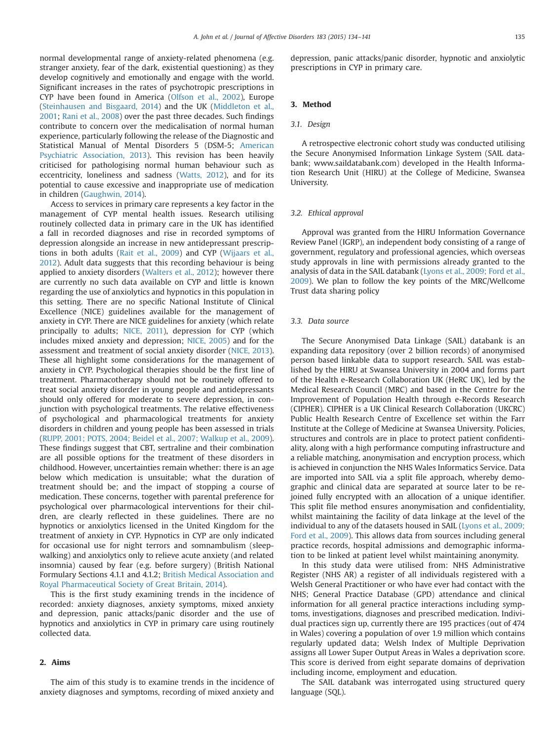normal developmental range of anxiety-related phenomena (e.g. stranger anxiety, fear of the dark, existential questioning) as they develop cognitively and emotionally and engage with the world. Significant increases in the rates of psychotropic prescriptions in CYP have been found in America (Olfson et al., 2002), Europe (Steinhausen and Bisgaard, 2014) and the UK (Middleton et al., 2001; Rani et al., 2008) over the past three decades. Such findings contribute to concern over the medicalisation of normal human experience, particularly following the release of the Diagnostic and Statistical Manual of Mental Disorders 5 (DSM-5; American Psychiatric Association, 2013). This revision has been heavily criticised for pathologising normal human behaviour such as eccentricity, loneliness and sadness (Watts, 2012), and for its potential to cause excessive and inappropriate use of medication in children (Gaughwin, 2014).

Access to services in primary care represents a key factor in the management of CYP mental health issues. Research utilising routinely collected data in primary care in the UK has identified a fall in recorded diagnoses and rise in recorded symptoms of depression alongside an increase in new antidepressant prescriptions in both adults (Rait et al., 2009) and CYP (Wijaars et al., 2012). Adult data suggests that this recording behaviour is being applied to anxiety disorders (Walters et al., 2012); however there are currently no such data available on CYP and little is known regarding the use of anxiolytics and hypnotics in this population in this setting. There are no specific National Institute of Clinical Excellence (NICE) guidelines available for the management of anxiety in CYP. There are NICE guidelines for anxiety (which relate principally to adults; NICE, 2011), depression for CYP (which includes mixed anxiety and depression; NICE, 2005) and for the assessment and treatment of social anxiety disorder (NICE, 2013). These all highlight some considerations for the management of anxiety in CYP. Psychological therapies should be the first line of treatment. Pharmacotherapy should not be routinely offered to treat social anxiety disorder in young people and antidepressants should only offered for moderate to severe depression, in conjunction with psychological treatments. The relative effectiveness of psychological and pharmacological treatments for anxiety disorders in children and young people has been assessed in trials (RUPP, 2001; POTS, 2004; Beidel et al., 2007; Walkup et al., 2009). These findings suggest that CBT, sertraline and their combination are all possible options for the treatment of these disorders in childhood. However, uncertainties remain whether: there is an age below which medication is unsuitable; what the duration of treatment should be; and the impact of stopping a course of medication. These concerns, together with parental preference for psychological over pharmacological interventions for their children, are clearly reflected in these guidelines. There are no hypnotics or anxiolytics licensed in the United Kingdom for the treatment of anxiety in CYP. Hypnotics in CYP are only indicated for occasional use for night terrors and somnambulism (sleepwalking) and anxiolytics only to relieve acute anxiety (and related insomnia) caused by fear (e.g. before surgery) (British National Formulary Sections 4.1.1 and 4.1.2; British Medical Association and Royal Pharmaceutical Society of Great Britain, 2014).

This is the first study examining trends in the incidence of recorded: anxiety diagnoses, anxiety symptoms, mixed anxiety and depression, panic attacks/panic disorder and the use of hypnotics and anxiolytics in CYP in primary care using routinely collected data.

## 2. Aims

The aim of this study is to examine trends in the incidence of anxiety diagnoses and symptoms, recording of mixed anxiety and

depression, panic attacks/panic disorder, hypnotic and anxiolytic prescriptions in CYP in primary care.

## 3. Method

## 3.1. Design

A retrospective electronic cohort study was conducted utilising the Secure Anonymised Information Linkage System (SAIL databank; www.saildatabank.com) developed in the Health Information Research Unit (HIRU) at the College of Medicine, Swansea University.

## 3.2. Ethical approval

Approval was granted from the HIRU Information Governance Review Panel (IGRP), an independent body consisting of a range of government, regulatory and professional agencies, which overseas study approvals in line with permissions already granted to the analysis of data in the SAIL databank (Lyons et al., 2009; Ford et al., 2009). We plan to follow the key points of the MRC/Wellcome Trust data sharing policy

## 3.3. Data source

The Secure Anonymised Data Linkage (SAIL) databank is an expanding data repository (over 2 billion records) of anonymised person based linkable data to support research. SAIL was established by the HIRU at Swansea University in 2004 and forms part of the Health e-Research Collaboration UK (HeRC UK), led by the Medical Research Council (MRC) and based in the Centre for the Improvement of Population Health through e-Records Research (CIPHER). CIPHER is a UK Clinical Research Collaboration (UKCRC) Public Health Research Centre of Excellence set within the Farr Institute at the College of Medicine at Swansea University. Policies, structures and controls are in place to protect patient confidentiality, along with a high performance computing infrastructure and a reliable matching, anonymisation and encryption process, which is achieved in conjunction the NHS Wales Informatics Service. Data are imported into SAIL via a split file approach, whereby demographic and clinical data are separated at source later to be rejoined fully encrypted with an allocation of a unique identifier. This split file method ensures anonymisation and confidentiality, whilst maintaining the facility of data linkage at the level of the individual to any of the datasets housed in SAIL (Lyons et al., 2009; Ford et al., 2009). This allows data from sources including general practice records, hospital admissions and demographic information to be linked at patient level whilst maintaining anonymity.

In this study data were utilised from: NHS Administrative Register (NHS AR) a register of all individuals registered with a Welsh General Practitioner or who have ever had contact with the NHS; General Practice Database (GPD) attendance and clinical information for all general practice interactions including symptoms, investigations, diagnoses and prescribed medication. Individual practices sign up, currently there are 195 practices (out of 474 in Wales) covering a population of over 1.9 million which contains regularly updated data; Welsh Index of Multiple Deprivation assigns all Lower Super Output Areas in Wales a deprivation score. This score is derived from eight separate domains of deprivation including income, employment and education.

The SAIL databank was interrogated using structured query language (SQL).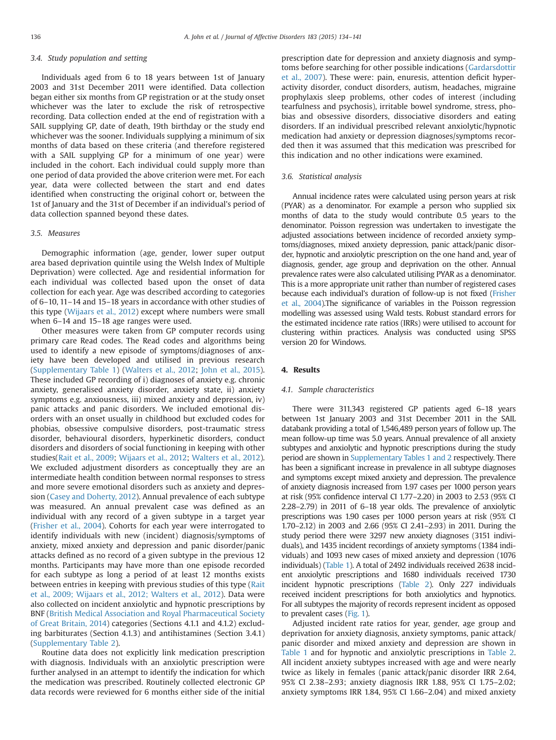## 3.4. Study population and setting

Individuals aged from 6 to 18 years between 1st of January 2003 and 31st December 2011 were identified. Data collection began either six months from GP registration or at the study onset whichever was the later to exclude the risk of retrospective recording. Data collection ended at the end of registration with a SAIL supplying GP, date of death, 19th birthday or the study end whichever was the sooner. Individuals supplying a minimum of six months of data based on these criteria (and therefore registered with a SAIL supplying GP for a minimum of one year) were included in the cohort. Each individual could supply more than one period of data provided the above criterion were met. For each year, data were collected between the start and end dates identified when constructing the original cohort or, between the 1st of January and the 31st of December if an individual's period of data collection spanned beyond these dates.

#### 3.5. Measures

Demographic information (age, gender, lower super output area based deprivation quintile using the Welsh Index of Multiple Deprivation) were collected. Age and residential information for each individual was collected based upon the onset of data collection for each year. Age was described according to categories of 6–10, 11–14 and 15–18 years in accordance with other studies of this type (Wijaars et al., 2012) except where numbers were small when 6–14 and 15–18 age ranges were used.

Other measures were taken from GP computer records using primary care Read codes. The Read codes and algorithms being used to identify a new episode of symptoms/diagnoses of anxiety have been developed and utilised in previous research (Supplementary Table 1) (Walters et al., 2012; John et al., 2015). These included GP recording of i) diagnoses of anxiety e.g. chronic anxiety, generalised anxiety disorder, anxiety state, ii) anxiety symptoms e.g. anxiousness, iii) mixed anxiety and depression, iv) panic attacks and panic disorders. We included emotional disorders with an onset usually in childhood but excluded codes for phobias, obsessive compulsive disorders, post-traumatic stress disorder, behavioural disorders, hyperkinetic disorders, conduct disorders and disorders of social functioning in keeping with other studies(Rait et al., 2009; Wijaars et al., 2012; Walters et al., 2012). We excluded adjustment disorders as conceptually they are an intermediate health condition between normal responses to stress and more severe emotional disorders such as anxiety and depression (Casey and Doherty, 2012). Annual prevalence of each subtype was measured. An annual prevalent case was defined as an individual with any record of a given subtype in a target year (Frisher et al., 2004). Cohorts for each year were interrogated to identify individuals with new (incident) diagnosis/symptoms of anxiety, mixed anxiety and depression and panic disorder/panic attacks defined as no record of a given subtype in the previous 12 months. Participants may have more than one episode recorded for each subtype as long a period of at least 12 months exists between entries in keeping with previous studies of this type (Rait et al., 2009; Wijaars et al., 2012; Walters et al., 2012). Data were also collected on incident anxiolytic and hypnotic prescriptions by BNF (British Medical Association and Royal Pharmaceutical Society of Great Britain, 2014) categories (Sections 4.1.1 and 4.1.2) excluding barbiturates (Section 4.1.3) and antihistamines (Section 3.4.1) (Supplementary Table 2).

Routine data does not explicitly link medication prescription with diagnosis. Individuals with an anxiolytic prescription were further analysed in an attempt to identify the indication for which the medication was prescribed. Routinely collected electronic GP data records were reviewed for 6 months either side of the initial

prescription date for depression and anxiety diagnosis and symptoms before searching for other possible indications (Gardarsdottir et al., 2007). These were: pain, enuresis, attention deficit hyperactivity disorder, conduct disorders, autism, headaches, migraine prophylaxis sleep problems, other codes of interest (including tearfulness and psychosis), irritable bowel syndrome, stress, phobias and obsessive disorders, dissociative disorders and eating disorders. If an individual prescribed relevant anxiolytic/hypnotic medication had anxiety or depression diagnoses/symptoms recorded then it was assumed that this medication was prescribed for this indication and no other indications were examined.

## 3.6. Statistical analysis

Annual incidence rates were calculated using person years at risk (PYAR) as a denominator. For example a person who supplied six months of data to the study would contribute 0.5 years to the denominator. Poisson regression was undertaken to investigate the adjusted associations between incidence of recorded anxiety symptoms/diagnoses, mixed anxiety depression, panic attack/panic disorder, hypnotic and anxiolytic prescription on the one hand and, year of diagnosis, gender, age group and deprivation on the other. Annual prevalence rates were also calculated utilising PYAR as a denominator. This is a more appropriate unit rather than number of registered cases because each individual's duration of follow-up is not fixed (Frisher et al., 2004).The significance of variables in the Poisson regression modelling was assessed using Wald tests. Robust standard errors for the estimated incidence rate ratios (IRRs) were utilised to account for clustering within practices. Analysis was conducted using SPSS version 20 for Windows.

### 4. Results

## 4.1. Sample characteristics

There were 311,343 registered GP patients aged 6–18 years between 1st January 2003 and 31st December 2011 in the SAIL databank providing a total of 1,546,489 person years of follow up. The mean follow-up time was 5.0 years. Annual prevalence of all anxiety subtypes and anxiolytic and hypnotic prescriptions during the study period are shown in Supplementary Tables 1 and 2 respectively. There has been a significant increase in prevalence in all subtype diagnoses and symptoms except mixed anxiety and depression. The prevalence of anxiety diagnosis increased from 1.97 cases per 1000 person years at risk (95% confidence interval CI 1.77–2.20) in 2003 to 2.53 (95% CI 2.28–2.79) in 2011 of 6–18 year olds. The prevalence of anxiolytic prescriptions was 1.90 cases per 1000 person years at risk (95% CI 1.70–2.12) in 2003 and 2.66 (95% CI 2.41–2.93) in 2011. During the study period there were 3297 new anxiety diagnoses (3151 individuals), and 1435 incident recordings of anxiety symptoms (1384 individuals) and 1093 new cases of mixed anxiety and depression (1076 individuals) (Table 1). A total of 2492 individuals received 2638 incident anxiolytic prescriptions and 1680 individuals received 1730 incident hypnotic prescriptions (Table 2). Only 227 individuals received incident prescriptions for both anxiolytics and hypnotics. For all subtypes the majority of records represent incident as opposed to prevalent cases (Fig. 1).

Adjusted incident rate ratios for year, gender, age group and deprivation for anxiety diagnosis, anxiety symptoms, panic attack/ panic disorder and mixed anxiety and depression are shown in Table 1 and for hypnotic and anxiolytic prescriptions in Table 2. All incident anxiety subtypes increased with age and were nearly twice as likely in females (panic attack/panic disorder IRR 2.64, 95% CI 2.38–2.93; anxiety diagnosis IRR 1.88, 95% CI 1.75–2.02; anxiety symptoms IRR 1.84, 95% CI 1.66–2.04) and mixed anxiety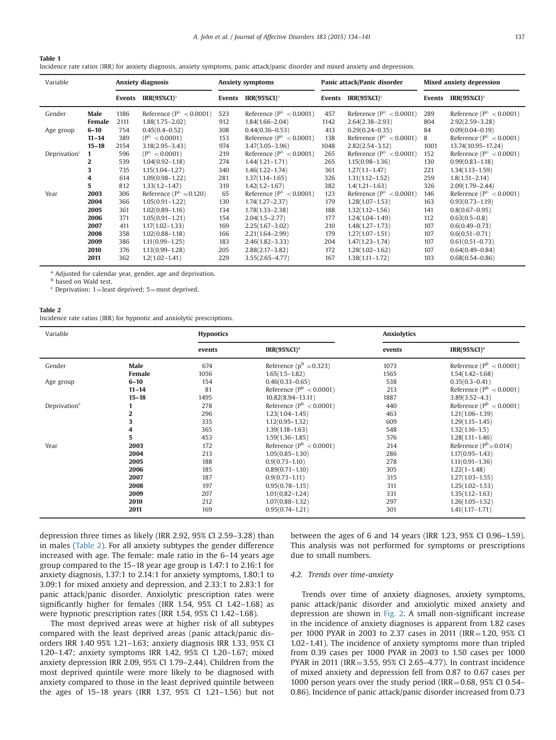#### Table 1

Incidence rate ratios (IRR) for anxiety diagnosis, anxiety symptoms, panic attack/panic disorder and mixed anxiety and depression.

| Variable                 |                                                                      | <b>Anxiety diagnosis</b>                                    |                                                                                                                                                                                                                 | <b>Anxiety symptoms</b>                                    |                                                                                                                                                                                                                   | Panic attack/Panic disorder                                 |                                                                                                                                                                                                            | <b>Mixed anxiety depression</b>                             |                                                                                                                                                                                                              |
|--------------------------|----------------------------------------------------------------------|-------------------------------------------------------------|-----------------------------------------------------------------------------------------------------------------------------------------------------------------------------------------------------------------|------------------------------------------------------------|-------------------------------------------------------------------------------------------------------------------------------------------------------------------------------------------------------------------|-------------------------------------------------------------|------------------------------------------------------------------------------------------------------------------------------------------------------------------------------------------------------------|-------------------------------------------------------------|--------------------------------------------------------------------------------------------------------------------------------------------------------------------------------------------------------------|
|                          |                                                                      | Events                                                      | $IRR(95\%CI)^{a}$                                                                                                                                                                                               | Events                                                     | IRR(95%CI) <sup>a</sup>                                                                                                                                                                                           | Events                                                      | $IRR(95\%CI)a$                                                                                                                                                                                             | Events                                                      | IRR(95%CI) <sup>a</sup>                                                                                                                                                                                      |
| Gender<br>Age group      | Male<br>Female<br>$6 - 10$<br>$11 - 14$                              | 1186<br>2111<br>754<br>389                                  | Reference ( $P^b < 0.0001$ )<br>$1.88(1.75 - 2.02)$<br>$0.45(0.4 - 0.52)$<br>$(P^b < 0.0001)$                                                                                                                   | 523<br>912<br>308<br>153                                   | Reference ( $P^b$ < 0.0001)<br>$1.84(1.66 - 2.04)$<br>$0.44(0.36 - 0.53)$<br>Reference ( $P^b$ < 0.0001)                                                                                                          | 457<br>1142<br>413<br>138                                   | Reference ( $P^b$ < 0.0001)<br>$2.64(2.38 - 2.93)$<br>$0.29(0.24 - 0.35)$<br>Reference ( $P^b$ < 0.0001)                                                                                                   | 289<br>804<br>84<br>8                                       | Reference ( $P^b < 0.0001$ )<br>$2.92(2.59 - 3.28)$<br>$0.09(0.04 - 0.19)$<br>Reference ( $Pb < 0.0001$ )                                                                                                    |
| Deprivation <sup>c</sup> | $15 - 18$<br>2<br>3<br>5                                             | 2154<br>596<br>539<br>735<br>614<br>812                     | $3.18(2.95 - 3.43)$<br>$(P^b < 0.0001)$<br>$1.04(0.92 - 1.18)$<br>$1.15(1.04 - 1.27)$<br>$1.09(0.98 - 1.22)$<br>$1.33(1.2 - 1.47)$                                                                              | 974<br>219<br>274<br>340<br>281<br>319                     | $3.47(3.05 - 3.96)$<br>Reference ( $P^b$ < 0.0001)<br>$1,44(1,21-1,71)$<br>$1,46(1,22-1,74)$<br>$1,37(1,14-1.65)$<br>$1,42(1,2-1.67)$                                                                             | 1048<br>265<br>265<br>361<br>326<br>382                     | $2.82(2.54 - 3.12)$<br>Reference ( $P^b < 0.0001$ )<br>$1.15(0.98 - 1.36)$<br>$1,27(1,1-1,47)$<br>$1,31(1,12-1,52)$<br>$1.4(1.21 - 1.63)$                                                                  | 1001<br>152<br>130<br>221<br>259<br>326                     | 13.74(10.95-17.24)<br>Reference ( $Pb < 0.0001$ )<br>$0.99(0.83 - 1.18)$<br>$1.34(1.13 - 1.59)$<br>$1.8(1.51 - 2.14)$<br>$2.09(1.79 - 2.44)$                                                                 |
| Year                     | 2003<br>2004<br>2005<br>2006<br>2007<br>2008<br>2009<br>2010<br>2011 | 306<br>366<br>361<br>371<br>411<br>358<br>386<br>376<br>362 | Reference ( $Pb = 0.120$ )<br>$1.05(0.91 - 1.22)$<br>$1.02(0.89 - 1.16)$<br>$1.05(0.91 - 1.21)$<br>$1.17(1.02 - 1.33)$<br>$1.02(0.88 - 1.18)$<br>$1.11(0.99 - 1.25)$<br>$1.13(0.99 - 1.28)$<br>$1,2(1,02-1,41)$ | 65<br>130<br>134<br>154<br>169<br>166<br>183<br>205<br>229 | Reference ( $P^b < 0.0001$ )<br>$1,74(1,27-2,37)$<br>$1.78(1.33 - 2.38)$<br>$2.04(1.5 - 2.77)$<br>$2.25(1.67 - 3.02)$<br>$2.21(1.64 - 2.99)$<br>$2.46(1.82 - 3.33)$<br>$2.88(2.17 - 3.82)$<br>$3.55(2.65 - 4.77)$ | 123<br>179<br>188<br>177<br>210<br>179<br>204<br>172<br>167 | Reference ( $P^b < 0.0001$ )<br>$1,28(1,07-1,53)$<br>$1.32(1.12 - 1.56)$<br>$1.24(1.04-1.49)$<br>$1,48(1,27-1,73)$<br>$1,27(1,07-1,51)$<br>$1,47(1,23-1,74)$<br>$1.28(1.02 - 1.62)$<br>$1.38(1.11 - 1.72)$ | 146<br>163<br>141<br>112<br>107<br>107<br>107<br>107<br>103 | Reference ( $Pb < 0.0001$ )<br>$0.93(0.73 - 1.19)$<br>$0.8(0.67 - 0.95)$<br>$0.63(0.5-0.8)$<br>$0.6(0.49 - 0.73)$<br>$0.6(0.51 - 0.71)$<br>$0.61(0.51 - 0.73)$<br>$0.64(0.49 - 0.84)$<br>$0.68(0.54 - 0.86)$ |

<sup>a</sup> Adjusted for calendar year, gender, age and deprivation.

**b** based on Wald test.

 $c$  Deprivation: 1=least deprived; 5=most deprived.

#### Table 2

Incidence rate ratios (IRR) for hypnotic and anxiolytic prescriptions.

| Variable        |               | <b>Hypnotics</b> |                              | <b>Anxiolytics</b> |                              |  |
|-----------------|---------------|------------------|------------------------------|--------------------|------------------------------|--|
|                 |               | events           | IRR $(95\%CI)^a$             | events             | IRR $(95\%CI)^a$             |  |
| Gender          | Male          | 674              | Reference ( $p^b = 0.323$ )  | 1073               | Reference ( $Pb < 0.0001$ )  |  |
|                 | <b>Female</b> | 1056             | $1.65(1.5-1.82)$             | 1565               | $1.54(1.42 - 1.68)$          |  |
| Age group       | $6 - 10$      | 154              | $0.46(0.33 - 0.65)$          | 538                | $0.35(0.3 - 0.41)$           |  |
|                 | $11 - 14$     | 81               | Reference ( $P^b < 0.0001$ ) | 213                | Reference $(P^{b} < 0.0001)$ |  |
|                 | $15 - 18$     | 1495             | $10.82(8.94 - 13.11)$        | 1887               | $3.89(3.52 - 4.3)$           |  |
| Deprivation $c$ |               | 278              | Reference ( $Pb < 0.0001$ )  | 440                | Reference ( $Pb < 0.0001$ )  |  |
|                 | $\mathbf 2$   | 296              | $1,23(1,04-1,45)$            | 463                | $1,21(1.06-1.39)$            |  |
|                 | 3             | 335              | $1.12(0.95 - 1.32)$          | 609                | $1,29(1,15-1,45)$            |  |
|                 | 4             | 365              | $1.39(1.18 - 1.63)$          | 548                | $1.32(1.16-1.5)$             |  |
|                 | 5             | 453              | $1.59(1.36 - 1.85)$          | 576                | $1.28(1.11 - 1.46)$          |  |
| Year            | 2003          | 172              | Reference ( $P^b < 0.0001$ ) | 214                | Reference $(P^b=0.014)$      |  |
|                 | 2004          | 213              | $1.05(0.85 - 1.30)$          | 286                | $1,17(0.95 - 1.43)$          |  |
|                 | 2005          | 188              | $0.9(0.73 - 1.10)$           | 278                | $1,11(0.91-1.36)$            |  |
|                 | 2006          | 185              | $0.89(0.71 - 1.10)$          | 305                | $1.22(1 - 1.48)$             |  |
|                 | 2007          | 187              | $0.9(0.73 - 1.11)$           | 315                | $1,27(1,03-1.55)$            |  |
|                 | 2008          | 197              | $0.95(0.78 - 1.15)$          | 311                | $1.25(1.02 - 1.53)$          |  |
|                 | 2009          | 207              | $1.01(0.82 - 1.24)$          | 331                | $1.35(1.12 - 1.63)$          |  |
|                 | 2010          | 212              | $1.07(0.88 - 1.32)$          | 297                | $1.26(1.05 - 1.52)$          |  |
|                 | 2011          | 169              | $0.95(0.74 - 1.21)$          | 301                | $1.41(1.17 - 1.71)$          |  |

depression three times as likely (IRR 2.92, 95% CI 2.59–3.28) than in males (Table 2). For all anxiety subtypes the gender difference increased with age. The female: male ratio in the 6–14 years age group compared to the 15–18 year age group is 1.47:1 to 2.16:1 for anxiety diagnosis, 1.37:1 to 2.14:1 for anxiety symptoms, 1.80:1 to 3.09:1 for mixed anxiety and depression, and 2.33:1 to 2.83:1 for panic attack/panic disorder. Anxiolytic prescription rates were significantly higher for females (IRR 1.54, 95% CI 1.42–1.68) as were hypnotic prescription rates (IRR 1.54, 95% CI 1.42–1.68).

The most deprived areas were at higher risk of all subtypes compared with the least deprived areas (panic attack/panic disorders IRR 1.40 95% 1.21–1.63; anxiety diagnosis IRR 1.33, 95% CI 1.20–1.47; anxiety symptoms IRR 1.42, 95% CI 1.20–1.67; mixed anxiety depression IRR 2.09, 95% CI 1.79–2.44). Children from the most deprived quintile were more likely to be diagnosed with anxiety compared to those in the least deprived quintile between the ages of 15–18 years (IRR 1.37, 95% CI 1.21–1.56) but not between the ages of 6 and 14 years (IRR 1.23, 95% CI 0.96–1.59). This analysis was not performed for symptoms or prescriptions due to small numbers.

## 4.2. Trends over time-anxiety

Trends over time of anxiety diagnoses, anxiety symptoms, panic attack/panic disorder and anxiolytic mixed anxiety and depression are shown in Fig. 2. A small non-significant increase in the incidence of anxiety diagnoses is apparent from 1.82 cases per 1000 PYAR in 2003 to 2.37 cases in 2011 (IRR = 1.20, 95% CI 1.02–1.41). The incidence of anxiety symptoms more than tripled from 0.39 cases per 1000 PYAR in 2003 to 1.50 cases per 1000 PYAR in 2011 (IRR = 3.55, 95% CI 2.65–4.77). In contrast incidence of mixed anxiety and depression fell from 0.87 to 0.67 cases per 1000 person years over the study period (IRR $=$ 0.68, 95% CI 0.54– 0.86). Incidence of panic attack/panic disorder increased from 0.73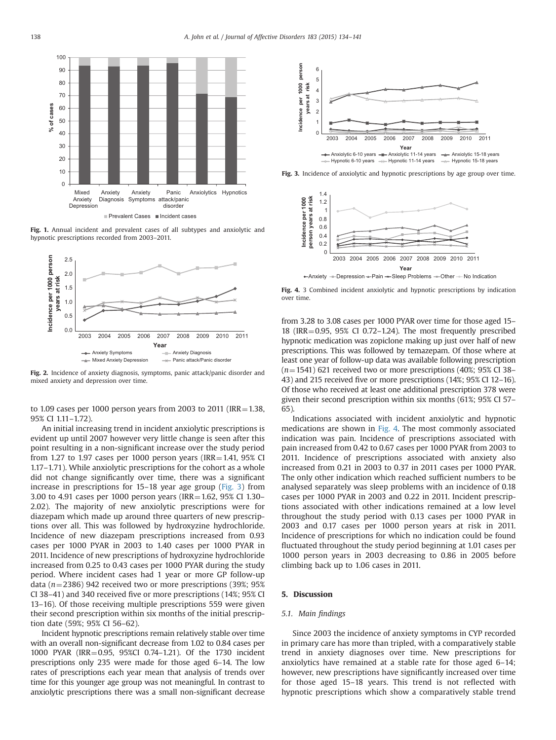

Fig. 1. Annual incident and prevalent cases of all subtypes and anxiolytic and hypnotic prescriptions recorded from 2003–2011.



Fig. 2. Incidence of anxiety diagnosis, symptoms, panic attack/panic disorder and mixed anxiety and depression over time.

to 1.09 cases per 1000 person years from 2003 to 2011 (IRR =  $1.38$ , 95% CI 1.11–1.72).

An initial increasing trend in incident anxiolytic prescriptions is evident up until 2007 however very little change is seen after this point resulting in a non-significant increase over the study period from 1.27 to 1.97 cases per 1000 person years (IRR $=$  1.41, 95% CI 1.17–1.71). While anxiolytic prescriptions for the cohort as a whole did not change significantly over time, there was a significant increase in prescriptions for 15–18 year age group (Fig. 3) from 3.00 to 4.91 cases per 1000 person years (IRR = 1.62, 95% CI 1.30– 2.02). The majority of new anxiolytic prescriptions were for diazepam which made up around three quarters of new prescriptions over all. This was followed by hydroxyzine hydrochloride. Incidence of new diazepam prescriptions increased from 0.93 cases per 1000 PYAR in 2003 to 1.40 cases per 1000 PYAR in 2011. Incidence of new prescriptions of hydroxyzine hydrochloride increased from 0.25 to 0.43 cases per 1000 PYAR during the study period. Where incident cases had 1 year or more GP follow-up data ( $n=2386$ ) 942 received two or more prescriptions (39%; 95%) CI 38–41) and 340 received five or more prescriptions (14%; 95% CI 13–16). Of those receiving multiple prescriptions 559 were given their second prescription within six months of the initial prescription date (59%; 95% CI 56–62).

Incident hypnotic prescriptions remain relatively stable over time with an overall non-significant decrease from 1.02 to 0.84 cases per 1000 PYAR (IRR=0.95, 95%CI 0.74-1.21). Of the 1730 incident prescriptions only 235 were made for those aged 6–14. The low rates of prescriptions each year mean that analysis of trends over time for this younger age group was not meaningful. In contrast to anxiolytic prescriptions there was a small non-significant decrease



Fig. 3. Incidence of anxiolytic and hypnotic prescriptions by age group over time.



Fig. 4. 3 Combined incident anxiolytic and hypnotic prescriptions by indication over time.

from 3.28 to 3.08 cases per 1000 PYAR over time for those aged 15– 18 (IRR $=$ 0.95, 95% CI 0.72-1.24). The most frequently prescribed hypnotic medication was zopiclone making up just over half of new prescriptions. This was followed by temazepam. Of those where at least one year of follow-up data was available following prescription  $(n=1541)$  621 received two or more prescriptions (40%; 95% CI 38– 43) and 215 received five or more prescriptions (14%; 95% CI 12–16). Of those who received at least one additional prescription 378 were given their second prescription within six months (61%; 95% CI 57– 65).

Indications associated with incident anxiolytic and hypnotic medications are shown in Fig. 4. The most commonly associated indication was pain. Incidence of prescriptions associated with pain increased from 0.42 to 0.67 cases per 1000 PYAR from 2003 to 2011. Incidence of prescriptions associated with anxiety also increased from 0.21 in 2003 to 0.37 in 2011 cases per 1000 PYAR. The only other indication which reached sufficient numbers to be analysed separately was sleep problems with an incidence of 0.18 cases per 1000 PYAR in 2003 and 0.22 in 2011. Incident prescriptions associated with other indications remained at a low level throughout the study period with 0.13 cases per 1000 PYAR in 2003 and 0.17 cases per 1000 person years at risk in 2011. Incidence of prescriptions for which no indication could be found fluctuated throughout the study period beginning at 1.01 cases per 1000 person years in 2003 decreasing to 0.86 in 2005 before climbing back up to 1.06 cases in 2011.

## 5. Discussion

## 5.1. Main findings

Since 2003 the incidence of anxiety symptoms in CYP recorded in primary care has more than tripled, with a comparatively stable trend in anxiety diagnoses over time. New prescriptions for anxiolytics have remained at a stable rate for those aged 6–14; however, new prescriptions have significantly increased over time for those aged 15–18 years. This trend is not reflected with hypnotic prescriptions which show a comparatively stable trend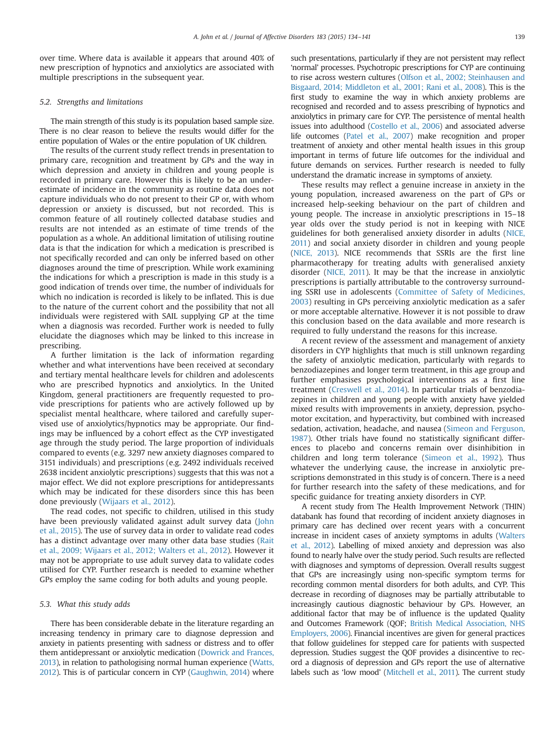over time. Where data is available it appears that around 40% of new prescription of hypnotics and anxiolytics are associated with multiple prescriptions in the subsequent year.

## 5.2. Strengths and limitations

The main strength of this study is its population based sample size. There is no clear reason to believe the results would differ for the entire population of Wales or the entire population of UK children.

The results of the current study reflect trends in presentation to primary care, recognition and treatment by GPs and the way in which depression and anxiety in children and young people is recorded in primary care. However this is likely to be an underestimate of incidence in the community as routine data does not capture individuals who do not present to their GP or, with whom depression or anxiety is discussed, but not recorded. This is common feature of all routinely collected database studies and results are not intended as an estimate of time trends of the population as a whole. An additional limitation of utilising routine data is that the indication for which a medication is prescribed is not specifically recorded and can only be inferred based on other diagnoses around the time of prescription. While work examining the indications for which a prescription is made in this study is a good indication of trends over time, the number of individuals for which no indication is recorded is likely to be inflated. This is due to the nature of the current cohort and the possibility that not all individuals were registered with SAIL supplying GP at the time when a diagnosis was recorded. Further work is needed to fully elucidate the diagnoses which may be linked to this increase in prescribing.

A further limitation is the lack of information regarding whether and what interventions have been received at secondary and tertiary mental healthcare levels for children and adolescents who are prescribed hypnotics and anxiolytics. In the United Kingdom, general practitioners are frequently requested to provide prescriptions for patients who are actively followed up by specialist mental healthcare, where tailored and carefully supervised use of anxiolytics/hypnotics may be appropriate. Our findings may be influenced by a cohort effect as the CYP investigated age through the study period. The large proportion of individuals compared to events (e.g. 3297 new anxiety diagnoses compared to 3151 individuals) and prescriptions (e.g. 2492 individuals received 2638 incident anxiolytic prescriptions) suggests that this was not a major effect. We did not explore prescriptions for antidepressants which may be indicated for these disorders since this has been done previously (Wijaars et al., 2012).

The read codes, not specific to children, utilised in this study have been previously validated against adult survey data (John et al., 2015). The use of survey data in order to validate read codes has a distinct advantage over many other data base studies (Rait et al., 2009; Wijaars et al., 2012; Walters et al., 2012). However it may not be appropriate to use adult survey data to validate codes utilised for CYP. Further research is needed to examine whether GPs employ the same coding for both adults and young people.

## 5.3. What this study adds

There has been considerable debate in the literature regarding an increasing tendency in primary care to diagnose depression and anxiety in patients presenting with sadness or distress and to offer them antidepressant or anxiolytic medication (Dowrick and Frances, 2013), in relation to pathologising normal human experience (Watts, 2012). This is of particular concern in CYP (Gaughwin, 2014) where such presentations, particularly if they are not persistent may reflect 'normal' processes. Psychotropic prescriptions for CYP are continuing to rise across western cultures (Olfson et al., 2002; Steinhausen and Bisgaard, 2014; Middleton et al., 2001; Rani et al., 2008). This is the first study to examine the way in which anxiety problems are recognised and recorded and to assess prescribing of hypnotics and anxiolytics in primary care for CYP. The persistence of mental health issues into adulthood (Costello et al., 2006) and associated adverse life outcomes (Patel et al., 2007) make recognition and proper treatment of anxiety and other mental health issues in this group important in terms of future life outcomes for the individual and future demands on services. Further research is needed to fully understand the dramatic increase in symptoms of anxiety.

These results may reflect a genuine increase in anxiety in the young population, increased awareness on the part of GPs or increased help-seeking behaviour on the part of children and young people. The increase in anxiolytic prescriptions in 15–18 year olds over the study period is not in keeping with NICE guidelines for both generalised anxiety disorder in adults (NICE, 2011) and social anxiety disorder in children and young people (NICE, 2013). NICE recommends that SSRIs are the first line pharmacotherapy for treating adults with generalised anxiety disorder (NICE, 2011). It may be that the increase in anxiolytic prescriptions is partially attributable to the controversy surrounding SSRI use in adolescents (Committee of Safety of Medicines, 2003) resulting in GPs perceiving anxiolytic medication as a safer or more acceptable alternative. However it is not possible to draw this conclusion based on the data available and more research is required to fully understand the reasons for this increase.

A recent review of the assessment and management of anxiety disorders in CYP highlights that much is still unknown regarding the safety of anxiolytic medication, particularly with regards to benzodiazepines and longer term treatment, in this age group and further emphasises psychological interventions as a first line treatment (Creswell et al., 2014). In particular trials of benzodiazepines in children and young people with anxiety have yielded mixed results with improvements in anxiety, depression, psychomotor excitation, and hyperactivity, but combined with increased sedation, activation, headache, and nausea (Simeon and Ferguson, 1987). Other trials have found no statistically significant differences to placebo and concerns remain over disinhibition in children and long term tolerance (Simeon et al., 1992). Thus whatever the underlying cause, the increase in anxiolytic prescriptions demonstrated in this study is of concern. There is a need for further research into the safety of these medications, and for specific guidance for treating anxiety disorders in CYP.

A recent study from The Health Improvement Network (THIN) databank has found that recording of incident anxiety diagnoses in primary care has declined over recent years with a concurrent increase in incident cases of anxiety symptoms in adults (Walters et al., 2012). Labelling of mixed anxiety and depression was also found to nearly halve over the study period. Such results are reflected with diagnoses and symptoms of depression. Overall results suggest that GPs are increasingly using non-specific symptom terms for recording common mental disorders for both adults, and CYP. This decrease in recording of diagnoses may be partially attributable to increasingly cautious diagnostic behaviour by GPs. However, an additional factor that may be of influence is the updated Quality and Outcomes Framework (QOF; British Medical Association, NHS Employers, 2006). Financial incentives are given for general practices that follow guidelines for stepped care for patients with suspected depression. Studies suggest the QOF provides a disincentive to record a diagnosis of depression and GPs report the use of alternative labels such as 'low mood' (Mitchell et al., 2011). The current study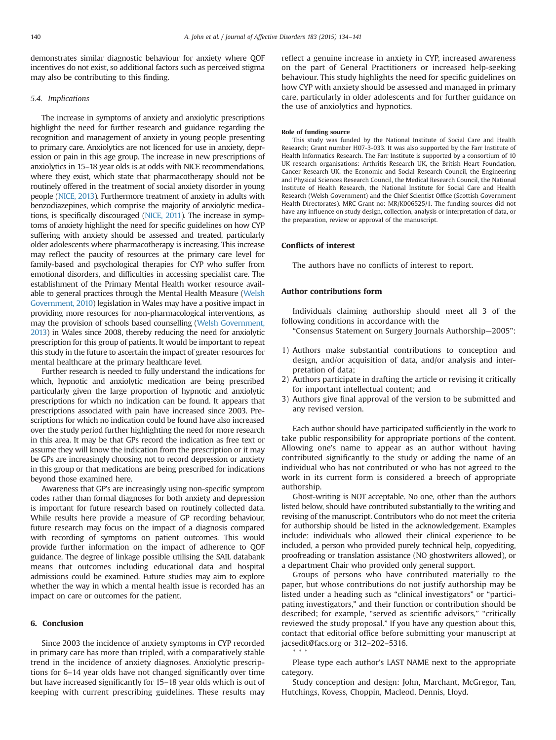demonstrates similar diagnostic behaviour for anxiety where QOF incentives do not exist, so additional factors such as perceived stigma may also be contributing to this finding.

## 5.4. Implications

The increase in symptoms of anxiety and anxiolytic prescriptions highlight the need for further research and guidance regarding the recognition and management of anxiety in young people presenting to primary care. Anxiolytics are not licenced for use in anxiety, depression or pain in this age group. The increase in new prescriptions of anxiolytics in 15–18 year olds is at odds with NICE recommendations, where they exist, which state that pharmacotherapy should not be routinely offered in the treatment of social anxiety disorder in young people (NICE, 2013). Furthermore treatment of anxiety in adults with benzodiazepines, which comprise the majority of anxiolytic medications, is specifically discouraged (NICE, 2011). The increase in symptoms of anxiety highlight the need for specific guidelines on how CYP suffering with anxiety should be assessed and treated, particularly older adolescents where pharmacotherapy is increasing. This increase may reflect the paucity of resources at the primary care level for family-based and psychological therapies for CYP who suffer from emotional disorders, and difficulties in accessing specialist care. The establishment of the Primary Mental Health worker resource available to general practices through the Mental Health Measure (Welsh Government, 2010) legislation in Wales may have a positive impact in providing more resources for non-pharmacological interventions, as may the provision of schools based counselling (Welsh Government, 2013) in Wales since 2008, thereby reducing the need for anxiolytic prescription for this group of patients. It would be important to repeat this study in the future to ascertain the impact of greater resources for mental healthcare at the primary healthcare level.

Further research is needed to fully understand the indications for which, hypnotic and anxiolytic medication are being prescribed particularly given the large proportion of hypnotic and anxiolytic prescriptions for which no indication can be found. It appears that prescriptions associated with pain have increased since 2003. Prescriptions for which no indication could be found have also increased over the study period further highlighting the need for more research in this area. It may be that GPs record the indication as free text or assume they will know the indication from the prescription or it may be GPs are increasingly choosing not to record depression or anxiety in this group or that medications are being prescribed for indications beyond those examined here.

Awareness that GP's are increasingly using non-specific symptom codes rather than formal diagnoses for both anxiety and depression is important for future research based on routinely collected data. While results here provide a measure of GP recording behaviour, future research may focus on the impact of a diagnosis compared with recording of symptoms on patient outcomes. This would provide further information on the impact of adherence to QOF guidance. The degree of linkage possible utilising the SAIL databank means that outcomes including educational data and hospital admissions could be examined. Future studies may aim to explore whether the way in which a mental health issue is recorded has an impact on care or outcomes for the patient.

## 6. Conclusion

Since 2003 the incidence of anxiety symptoms in CYP recorded in primary care has more than tripled, with a comparatively stable trend in the incidence of anxiety diagnoses. Anxiolytic prescriptions for 6–14 year olds have not changed significantly over time but have increased significantly for 15–18 year olds which is out of keeping with current prescribing guidelines. These results may reflect a genuine increase in anxiety in CYP, increased awareness on the part of General Practitioners or increased help-seeking behaviour. This study highlights the need for specific guidelines on how CYP with anxiety should be assessed and managed in primary care, particularly in older adolescents and for further guidance on the use of anxiolytics and hypnotics.

## Role of funding source

This study was funded by the National Institute of Social Care and Health Research; Grant number H07-3-033. It was also supported by the Farr Institute of Health Informatics Research. The Farr Institute is supported by a consortium of 10 UK research organisations: Arthritis Research UK, the British Heart Foundation, Cancer Research UK, the Economic and Social Research Council, the Engineering and Physical Sciences Research Council, the Medical Research Council, the National Institute of Health Research, the National Institute for Social Care and Health Research (Welsh Government) and the Chief Scientist Office (Scottish Government Health Directorates). MRC Grant no: MR/K006525/1. The funding sources did not have any influence on study design, collection, analysis or interpretation of data, or the preparation, review or approval of the manuscript.

## Conflicts of interest

The authors have no conflicts of interest to report.

## Author contributions form

Individuals claiming authorship should meet all 3 of the following conditions in accordance with the

"Consensus Statement on Surgery Journals Authorship—2005":

- 1) Authors make substantial contributions to conception and design, and/or acquisition of data, and/or analysis and interpretation of data;
- 2) Authors participate in drafting the article or revising it critically for important intellectual content; and
- 3) Authors give final approval of the version to be submitted and any revised version.

Each author should have participated sufficiently in the work to take public responsibility for appropriate portions of the content. Allowing one's name to appear as an author without having contributed significantly to the study or adding the name of an individual who has not contributed or who has not agreed to the work in its current form is considered a breech of appropriate authorship.

Ghost-writing is NOT acceptable. No one, other than the authors listed below, should have contributed substantially to the writing and revising of the manuscript. Contributors who do not meet the criteria for authorship should be listed in the acknowledgement. Examples include: individuals who allowed their clinical experience to be included, a person who provided purely technical help, copyediting, proofreading or translation assistance (NO ghostwriters allowed), or a department Chair who provided only general support.

Groups of persons who have contributed materially to the paper, but whose contributions do not justify authorship may be listed under a heading such as "clinical investigators" or "participating investigators," and their function or contribution should be described; for example, "served as scientific advisors," "critically reviewed the study proposal." If you have any question about this, contact that editorial office before submitting your manuscript at jacsedit@facs.org or 312–202–5316.

\*\*\*

Please type each author's LAST NAME next to the appropriate category.

Study conception and design: John, Marchant, McGregor, Tan, Hutchings, Kovess, Choppin, Macleod, Dennis, Lloyd.